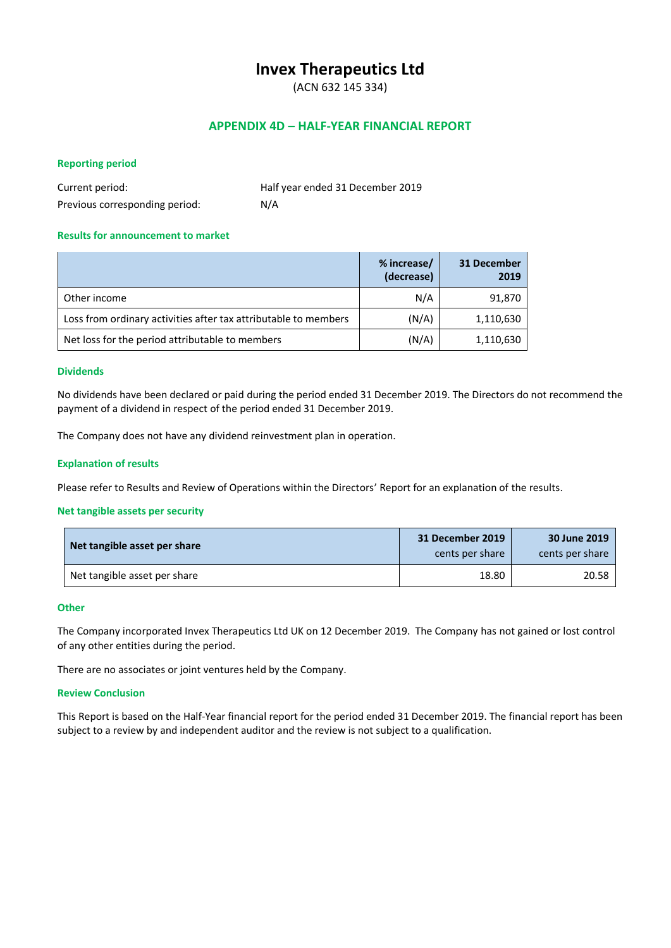# **Invex Therapeutics Ltd**

(ACN 632 145 334)

# **APPENDIX 4D – HALF-YEAR FINANCIAL REPORT**

#### **Reporting period**

| Current period:                | Half year ended 31 December 2019 |
|--------------------------------|----------------------------------|
| Previous corresponding period: | N/A                              |

# **Results for announcement to market**

|                                                                 | % increase/<br>(decrease) | 31 December<br>2019 |
|-----------------------------------------------------------------|---------------------------|---------------------|
| Other income                                                    | N/A                       | 91,870              |
| Loss from ordinary activities after tax attributable to members | (N/A)                     | 1,110,630           |
| Net loss for the period attributable to members                 | (N/A)                     | 1,110,630           |

#### **Dividends**

No dividends have been declared or paid during the period ended 31 December 2019. The Directors do not recommend the payment of a dividend in respect of the period ended 31 December 2019.

The Company does not have any dividend reinvestment plan in operation.

#### **Explanation of results**

Please refer to Results and Review of Operations within the Directors' Report for an explanation of the results.

#### **Net tangible assets per security**

| Net tangible asset per share | 31 December 2019<br>cents per share | 30 June 2019<br>cents per share |
|------------------------------|-------------------------------------|---------------------------------|
| Net tangible asset per share | 18.80                               | 20.58                           |

#### **Other**

The Company incorporated Invex Therapeutics Ltd UK on 12 December 2019. The Company has not gained or lost control of any other entities during the period.

There are no associates or joint ventures held by the Company.

#### **Review Conclusion**

This Report is based on the Half-Year financial report for the period ended 31 December 2019. The financial report has been subject to a review by and independent auditor and the review is not subject to a qualification.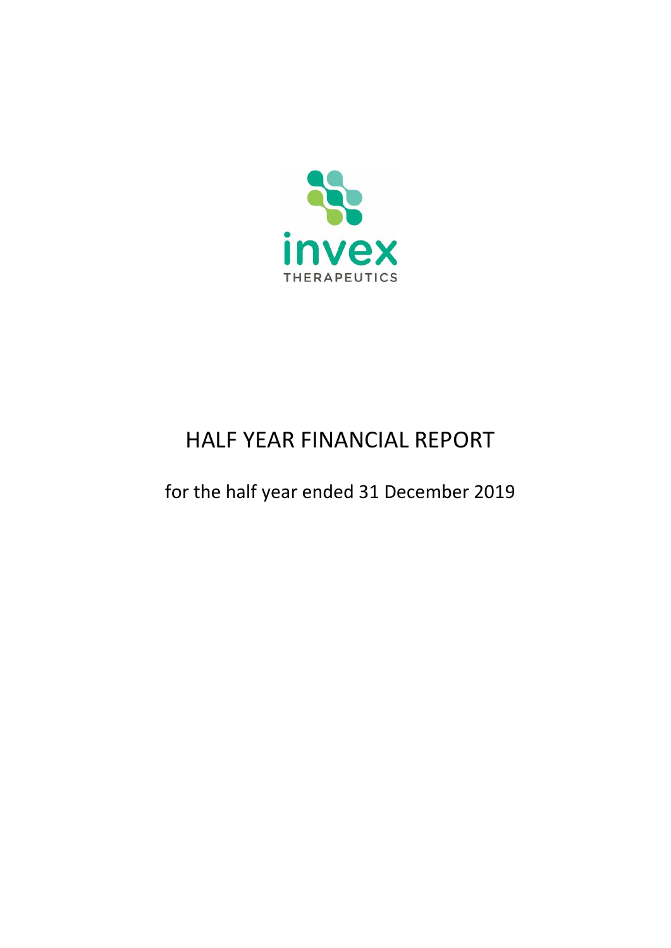

# HALF YEAR FINANCIAL REPORT

for the half year ended 31 December 2019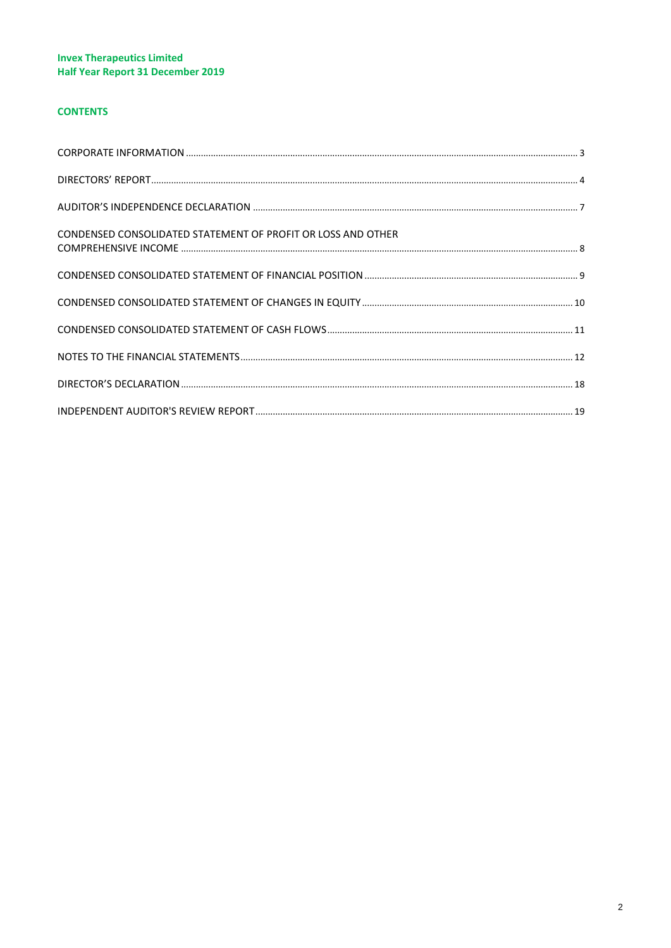# **CONTENTS**

| CONDENSED CONSOLIDATED STATEMENT OF PROFIT OR LOSS AND OTHER |  |
|--------------------------------------------------------------|--|
|                                                              |  |
|                                                              |  |
|                                                              |  |
|                                                              |  |
|                                                              |  |
|                                                              |  |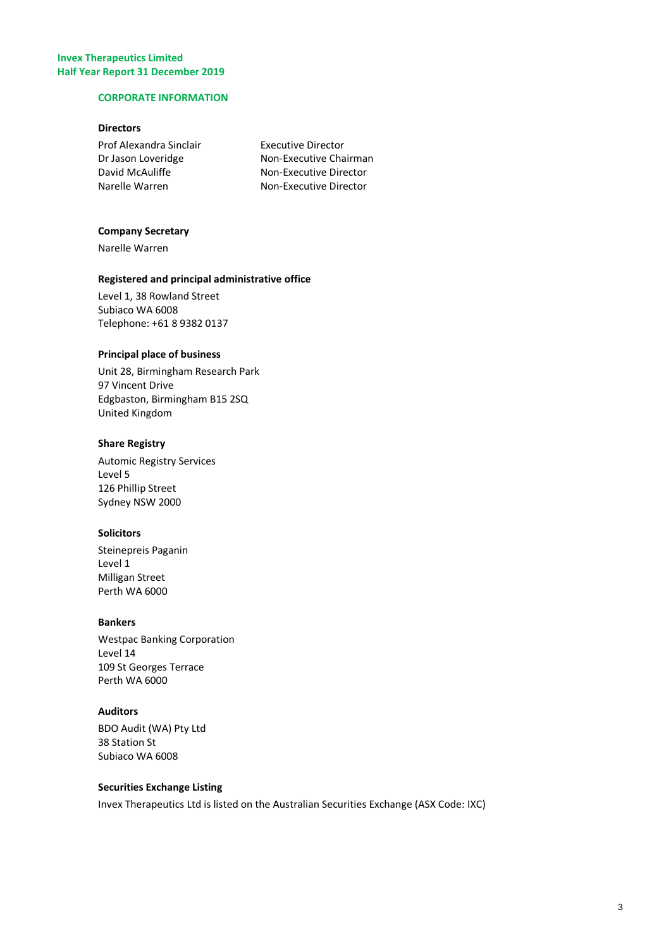#### <span id="page-3-0"></span>**CORPORATE INFORMATION**

# **Directors**

**Executive Director** Non-Executive Chairman Non-Executive Director Non-Executive Director

#### **Company Secretary**

Narelle Warren

# **Registered and principal administrative office**

Level 1, 38 Rowland Street Subiaco WA 6008 Telephone: +61 8 9382 0137

# **Principal place of business**

Unit 28, Birmingham Research Park 97 Vincent Drive Edgbaston, Birmingham B15 2SQ United Kingdom

# **Share Registry**

Automic Registry Services Level 5 126 Phillip Street Sydney NSW 2000

# **Solicitors**

Steinepreis Paganin Level 1 Milligan Street Perth WA 6000

# **Bankers**

Westpac Banking Corporation Level 14 109 St Georges Terrace Perth WA 6000

# **Auditors**

BDO Audit (WA) Pty Ltd 38 Station St Subiaco WA 6008

# **Securities Exchange Listing**

Invex Therapeutics Ltd is listed on the Australian Securities Exchange (ASX Code: IXC)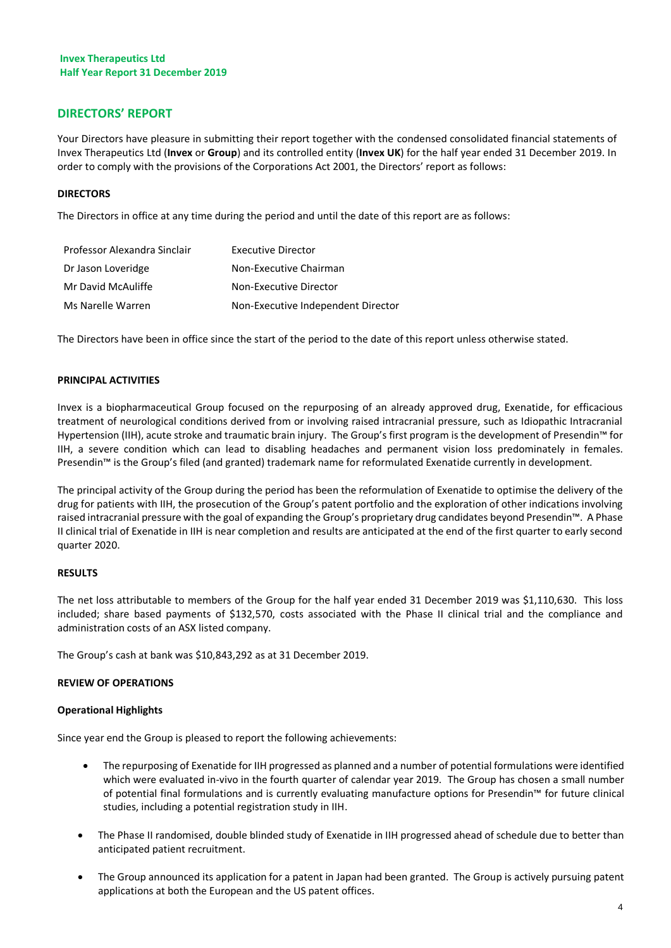# <span id="page-4-0"></span>**DIRECTORS' REPORT**

Your Directors have pleasure in submitting their report together with the condensed consolidated financial statements of Invex Therapeutics Ltd (**Invex** or **Group**) and its controlled entity (**Invex UK**) for the half year ended 31 December 2019. In order to comply with the provisions of the Corporations Act 2001, the Directors' report as follows:

# **DIRECTORS**

The Directors in office at any time during the period and until the date of this report are as follows:

| Professor Alexandra Sinclair | <b>Executive Director</b>          |
|------------------------------|------------------------------------|
| Dr Jason Loveridge           | Non-Executive Chairman             |
| Mr David McAuliffe           | Non-Executive Director             |
| Ms Narelle Warren            | Non-Executive Independent Director |

The Directors have been in office since the start of the period to the date of this report unless otherwise stated.

# **PRINCIPAL ACTIVITIES**

Invex is a biopharmaceutical Group focused on the repurposing of an already approved drug, Exenatide, for efficacious treatment of neurological conditions derived from or involving raised intracranial pressure, such as Idiopathic Intracranial Hypertension (IIH), acute stroke and traumatic brain injury. The Group's first program is the development of Presendin™ for IIH, a severe condition which can lead to disabling headaches and permanent vision loss predominately in females. Presendin™ is the Group's filed (and granted) trademark name for reformulated Exenatide currently in development.

The principal activity of the Group during the period has been the reformulation of Exenatide to optimise the delivery of the drug for patients with IIH, the prosecution of the Group's patent portfolio and the exploration of other indications involving raised intracranial pressure with the goal of expanding the Group's proprietary drug candidates beyond Presendin™. A Phase II clinical trial of Exenatide in IIH is near completion and results are anticipated at the end of the first quarter to early second quarter 2020.

#### **RESULTS**

The net loss attributable to members of the Group for the half year ended 31 December 2019 was \$1,110,630. This loss included; share based payments of \$132,570, costs associated with the Phase II clinical trial and the compliance and administration costs of an ASX listed company.

The Group's cash at bank was \$10,843,292 as at 31 December 2019.

#### **REVIEW OF OPERATIONS**

#### **Operational Highlights**

Since year end the Group is pleased to report the following achievements:

- The repurposing of Exenatide for IIH progressed as planned and a number of potential formulations were identified which were evaluated in-vivo in the fourth quarter of calendar year 2019. The Group has chosen a small number of potential final formulations and is currently evaluating manufacture options for Presendin™ for future clinical studies, including a potential registration study in IIH.
- The Phase II randomised, double blinded study of Exenatide in IIH progressed ahead of schedule due to better than anticipated patient recruitment.
- The Group announced its application for a patent in Japan had been granted. The Group is actively pursuing patent applications at both the European and the US patent offices.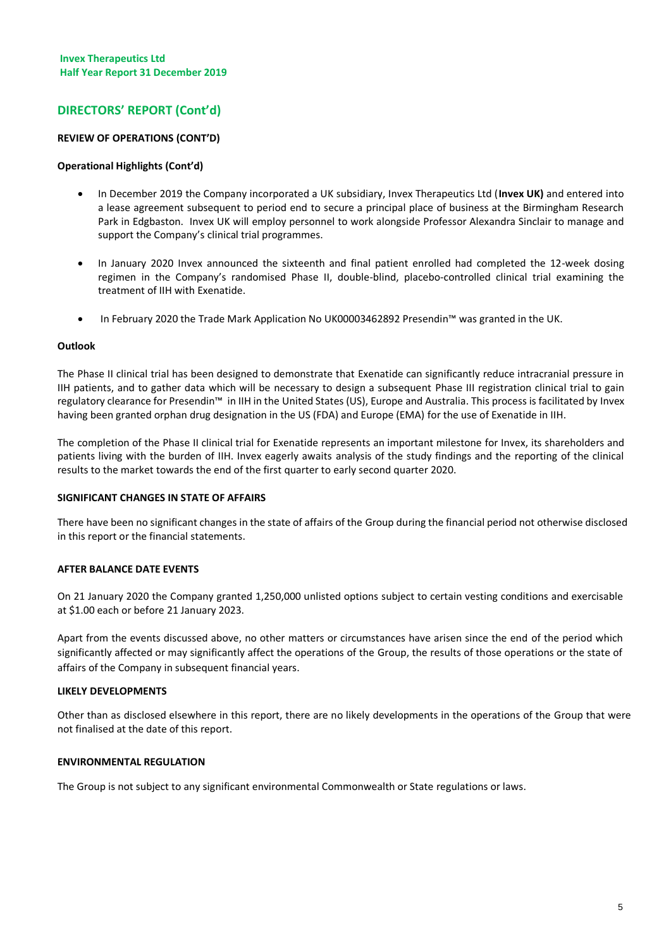# **DIRECTORS' REPORT (Cont'd)**

# **REVIEW OF OPERATIONS (CONT'D)**

#### **Operational Highlights (Cont'd)**

- In December 2019 the Company incorporated a UK subsidiary, Invex Therapeutics Ltd (**Invex UK)** and entered into a lease agreement subsequent to period end to secure a principal place of business at the Birmingham Research Park in Edgbaston. Invex UK will employ personnel to work alongside Professor Alexandra Sinclair to manage and support the Company's clinical trial programmes.
- In January 2020 Invex announced the sixteenth and final patient enrolled had completed the 12-week dosing regimen in the Company's randomised Phase II, double-blind, placebo-controlled clinical trial examining the treatment of IIH with Exenatide.
- In February 2020 the Trade Mark Application No UK00003462892 Presendin™ was granted in the UK.

#### **Outlook**

The Phase II clinical trial has been designed to demonstrate that Exenatide can significantly reduce intracranial pressure in IIH patients, and to gather data which will be necessary to design a subsequent Phase III registration clinical trial to gain regulatory clearance for Presendin™ in IIH in the United States (US), Europe and Australia. This process is facilitated by Invex having been granted orphan drug designation in the US (FDA) and Europe (EMA) for the use of Exenatide in IIH.

The completion of the Phase II clinical trial for Exenatide represents an important milestone for Invex, its shareholders and patients living with the burden of IIH. Invex eagerly awaits analysis of the study findings and the reporting of the clinical results to the market towards the end of the first quarter to early second quarter 2020.

#### **SIGNIFICANT CHANGES IN STATE OF AFFAIRS**

There have been no significant changes in the state of affairs of the Group during the financial period not otherwise disclosed in this report or the financial statements.

#### **AFTER BALANCE DATE EVENTS**

On 21 January 2020 the Company granted 1,250,000 unlisted options subject to certain vesting conditions and exercisable at \$1.00 each or before 21 January 2023.

Apart from the events discussed above, no other matters or circumstances have arisen since the end of the period which significantly affected or may significantly affect the operations of the Group, the results of those operations or the state of affairs of the Company in subsequent financial years.

#### **LIKELY DEVELOPMENTS**

Other than as disclosed elsewhere in this report, there are no likely developments in the operations of the Group that were not finalised at the date of this report.

#### **ENVIRONMENTAL REGULATION**

The Group is not subject to any significant environmental Commonwealth or State regulations or laws.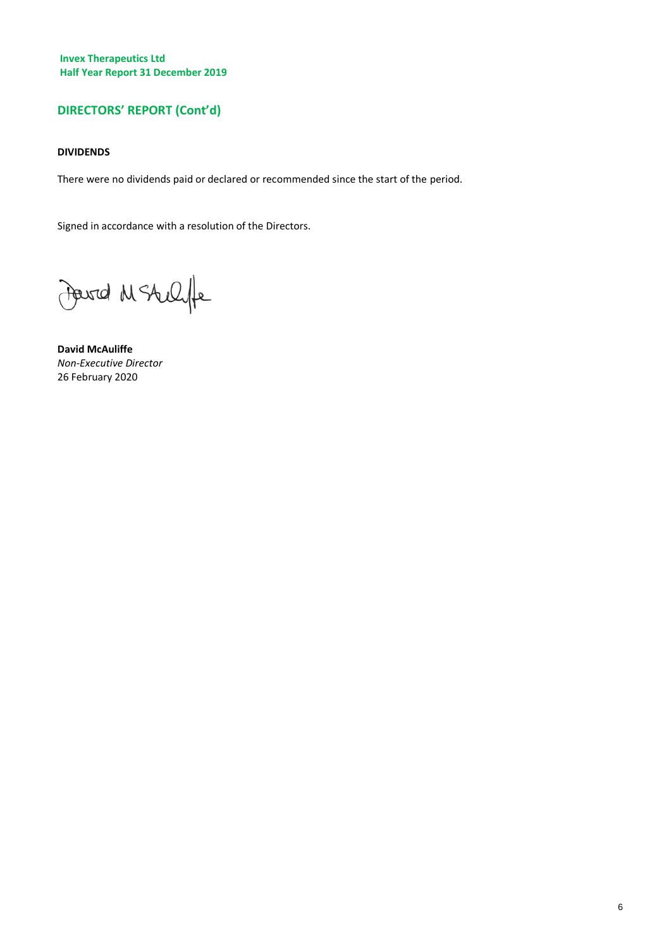# **DIRECTORS' REPORT (Cont'd)**

# **DIVIDENDS**

There were no dividends paid or declared or recommended since the start of the period.

Signed in accordance with a resolution of the Directors.

Fourd M Stellife

**David McAuliffe** *Non-Executive Director* 26 February 2020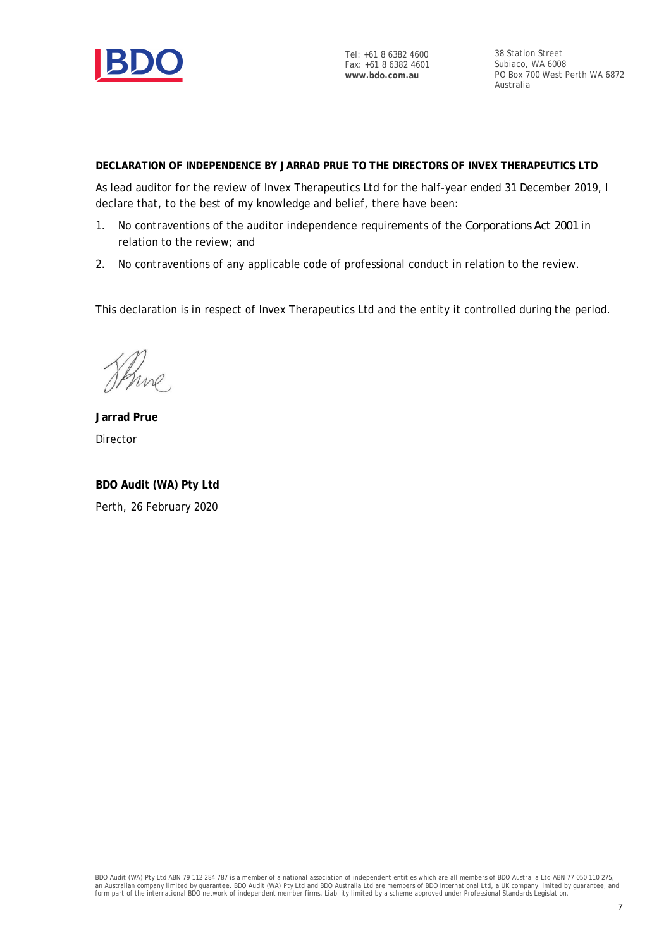

Tel: +61 8 6382 4600 Fax: +61 8 6382 4601 **www.bdo.com.au**

38 Station Street Subiaco, WA 6008 PO Box 700 West Perth WA 6872 Australia

**DECLARATION OF INDEPENDENCE BY JARRAD PRUE TO THE DIRECTORS OF INVEX THERAPEUTICS LTD**

As lead auditor for the review of Invex Therapeutics Ltd for the half-year ended 31 December 2019, I declare that, to the best of my knowledge and belief, there have been:

- 1. No contraventions of the auditor independence requirements of the *Corporations Act 2001* in relation to the review; and
- 2. No contraventions of any applicable code of professional conduct in relation to the review.

This declaration is in respect of Invex Therapeutics Ltd and the entity it controlled during the period.

Shine

**Jarrad Prue** Director

**BDO Audit (WA) Pty Ltd** Perth, 26 February 2020

BDO Audit (WA) Pty Ltd ABN 79 112 284 787 is a member of a national association of independent entities which are all members of BDO Australia Ltd ABN 77 050 110 275,<br>an Australian company limited by guarantee. BDO Audit (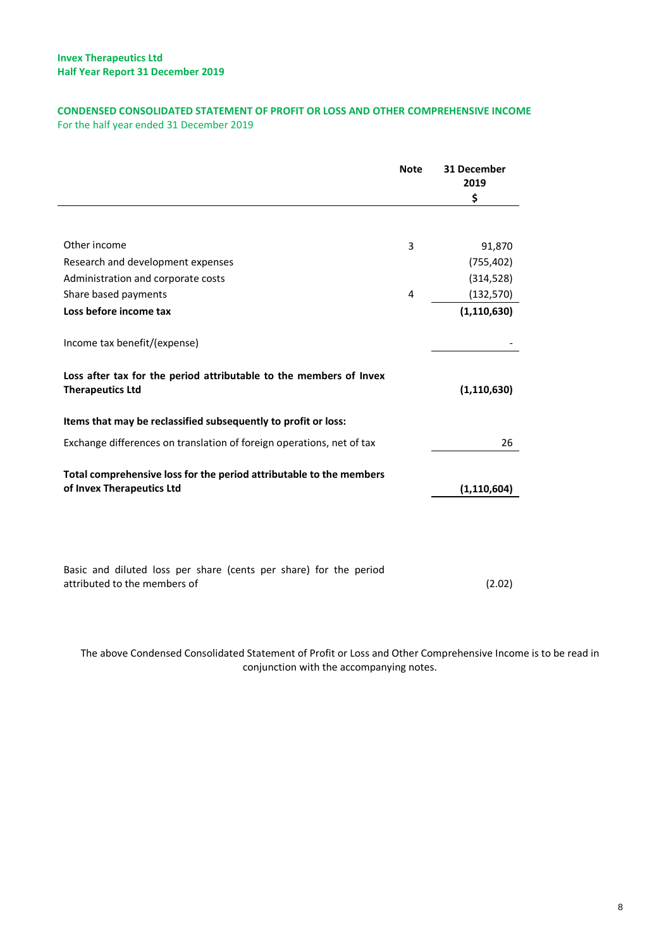# <span id="page-8-0"></span>**CONDENSED CONSOLIDATED STATEMENT OF PROFIT OR LOSS AND OTHER COMPREHENSIVE INCOME** For the half year ended 31 December 2019

|                                                                                                   | <b>Note</b> | 31 December<br>2019<br>\$ |
|---------------------------------------------------------------------------------------------------|-------------|---------------------------|
|                                                                                                   |             |                           |
| Other income                                                                                      | 3           | 91,870                    |
| Research and development expenses                                                                 |             | (755, 402)                |
| Administration and corporate costs                                                                |             | (314, 528)                |
| Share based payments                                                                              | 4           | (132, 570)                |
| Loss before income tax                                                                            |             | (1, 110, 630)             |
| Income tax benefit/(expense)                                                                      |             |                           |
| Loss after tax for the period attributable to the members of Invex<br><b>Therapeutics Ltd</b>     |             | (1, 110, 630)             |
| Items that may be reclassified subsequently to profit or loss:                                    |             |                           |
| Exchange differences on translation of foreign operations, net of tax                             |             | 26                        |
| Total comprehensive loss for the period attributable to the members<br>of Invex Therapeutics Ltd  |             | (1, 110, 604)             |
|                                                                                                   |             |                           |
| Basic and diluted loss per share (cents per share) for the period<br>attributed to the members of |             | (2.02)                    |

The above Condensed Consolidated Statement of Profit or Loss and Other Comprehensive Income is to be read in conjunction with the accompanying notes.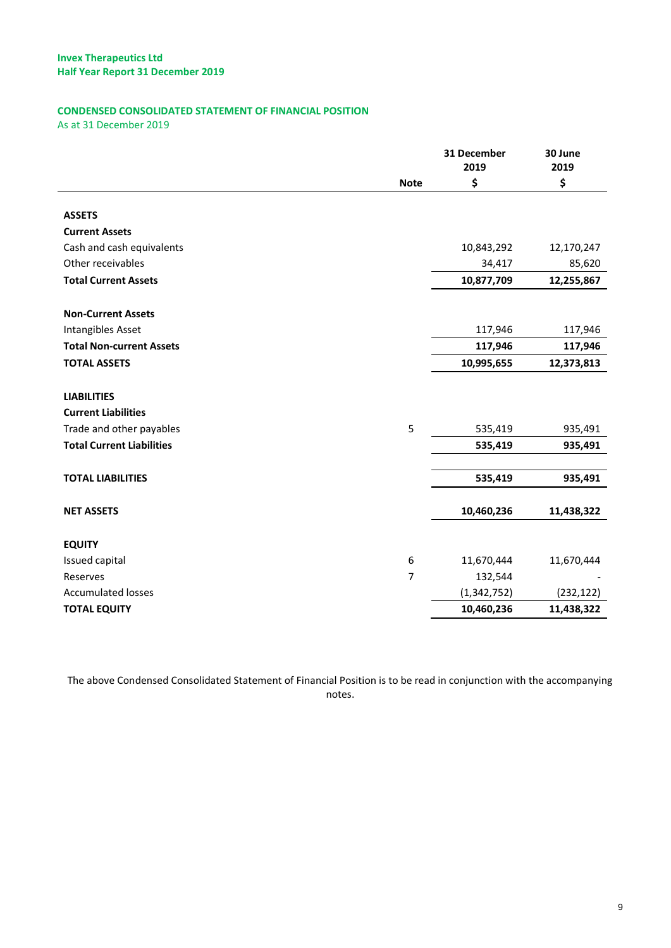# <span id="page-9-0"></span>**CONDENSED CONSOLIDATED STATEMENT OF FINANCIAL POSITION**

As at 31 December 2019

|                                  |             | 31 December<br>2019 | 30 June<br>2019 |
|----------------------------------|-------------|---------------------|-----------------|
|                                  | <b>Note</b> | \$                  | \$              |
|                                  |             |                     |                 |
| <b>ASSETS</b>                    |             |                     |                 |
| <b>Current Assets</b>            |             |                     |                 |
| Cash and cash equivalents        |             | 10,843,292          | 12,170,247      |
| Other receivables                |             | 34,417              | 85,620          |
| <b>Total Current Assets</b>      |             | 10,877,709          | 12,255,867      |
|                                  |             |                     |                 |
| <b>Non-Current Assets</b>        |             |                     |                 |
| Intangibles Asset                |             | 117,946             | 117,946         |
| <b>Total Non-current Assets</b>  |             | 117,946             | 117,946         |
| <b>TOTAL ASSETS</b>              |             | 10,995,655          | 12,373,813      |
|                                  |             |                     |                 |
| <b>LIABILITIES</b>               |             |                     |                 |
| <b>Current Liabilities</b>       |             |                     |                 |
| Trade and other payables         | 5           | 535,419             | 935,491         |
| <b>Total Current Liabilities</b> |             | 535,419             | 935,491         |
|                                  |             |                     |                 |
| <b>TOTAL LIABILITIES</b>         |             | 535,419             | 935,491         |
|                                  |             |                     |                 |
| <b>NET ASSETS</b>                |             | 10,460,236          | 11,438,322      |
| <b>EQUITY</b>                    |             |                     |                 |
| Issued capital                   | 6           | 11,670,444          | 11,670,444      |
| Reserves                         | 7           | 132,544             |                 |
| <b>Accumulated losses</b>        |             | (1, 342, 752)       | (232, 122)      |
| <b>TOTAL EQUITY</b>              |             | 10,460,236          | 11,438,322      |
|                                  |             |                     |                 |

The above Condensed Consolidated Statement of Financial Position is to be read in conjunction with the accompanying notes.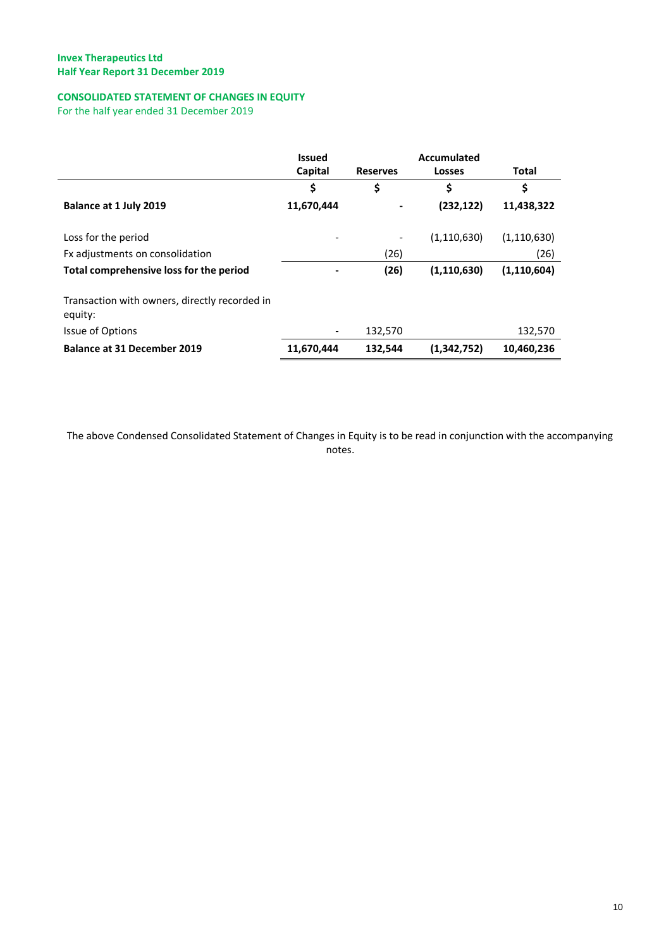# <span id="page-10-0"></span>**CONSOLIDATED STATEMENT OF CHANGES IN EQUITY**

For the half year ended 31 December 2019

|                                                          | <b>Issued</b> |                 | Accumulated   |               |
|----------------------------------------------------------|---------------|-----------------|---------------|---------------|
|                                                          | Capital       | <b>Reserves</b> | Losses        | Total         |
|                                                          | \$            | \$              | \$            | \$            |
| Balance at 1 July 2019                                   | 11,670,444    |                 | (232, 122)    | 11,438,322    |
| Loss for the period                                      |               |                 | (1, 110, 630) | (1, 110, 630) |
| Fx adjustments on consolidation                          |               | (26)            |               | (26)          |
| Total comprehensive loss for the period                  |               | (26)            | (1, 110, 630) | (1, 110, 604) |
| Transaction with owners, directly recorded in<br>equity: |               |                 |               |               |
| Issue of Options                                         |               | 132,570         |               | 132,570       |
| <b>Balance at 31 December 2019</b>                       | 11,670,444    | 132,544         | (1,342,752)   | 10,460,236    |

The above Condensed Consolidated Statement of Changes in Equity is to be read in conjunction with the accompanying notes.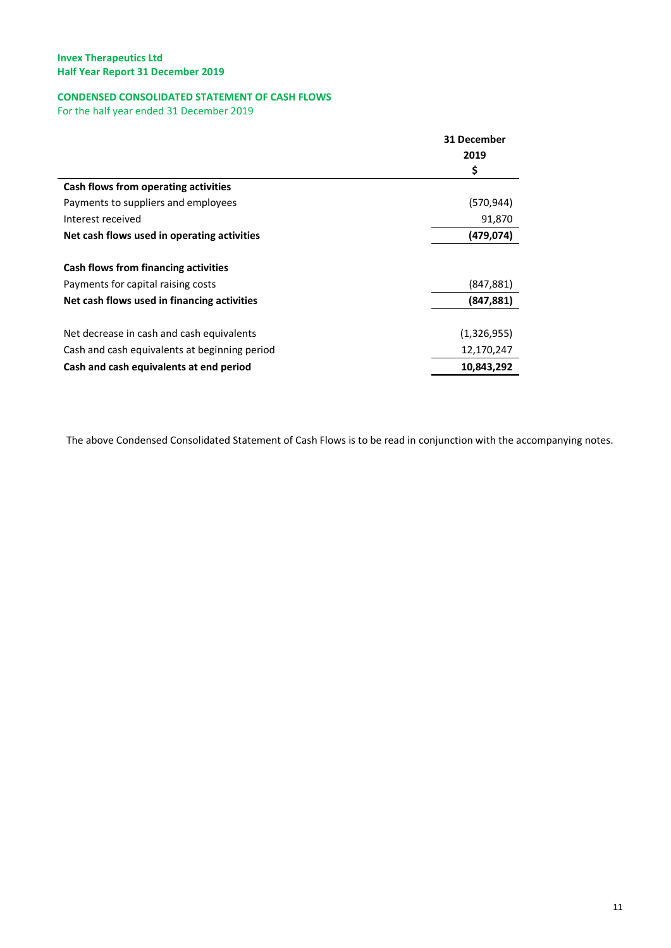# <span id="page-11-0"></span>**CONDENSED CONSOLIDATED STATEMENT OF CASH FLOWS**

For the half year ended 31 December 2019

|                                               | 31 December |  |
|-----------------------------------------------|-------------|--|
|                                               | 2019        |  |
|                                               | \$          |  |
| Cash flows from operating activities          |             |  |
| Payments to suppliers and employees           | (570, 944)  |  |
| Interest received                             | 91,870      |  |
| Net cash flows used in operating activities   | (479,074)   |  |
|                                               |             |  |
| Cash flows from financing activities          |             |  |
| Payments for capital raising costs            | (847, 881)  |  |
| Net cash flows used in financing activities   | (847, 881)  |  |
|                                               |             |  |
| Net decrease in cash and cash equivalents     | (1,326,955) |  |
| Cash and cash equivalents at beginning period | 12,170,247  |  |
| Cash and cash equivalents at end period       | 10,843,292  |  |

The above Condensed Consolidated Statement of Cash Flows is to be read in conjunction with the accompanying notes.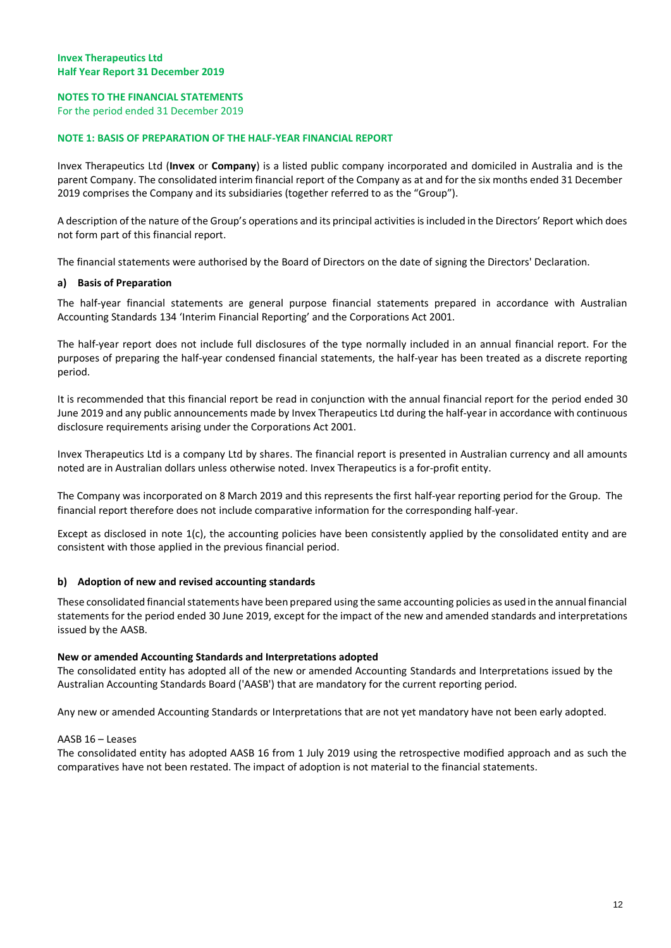# <span id="page-12-0"></span>**NOTES TO THE FINANCIAL STATEMENTS**

For the period ended 31 December 2019

#### **NOTE 1: BASIS OF PREPARATION OF THE HALF-YEAR FINANCIAL REPORT**

Invex Therapeutics Ltd (**Invex** or **Company**) is a listed public company incorporated and domiciled in Australia and is the parent Company. The consolidated interim financial report of the Company as at and for the six months ended 31 December 2019 comprises the Company and its subsidiaries (together referred to as the "Group").

A description of the nature of the Group's operations and its principal activities is included in the Directors' Report which does not form part of this financial report.

The financial statements were authorised by the Board of Directors on the date of signing the Directors' Declaration.

#### **a) Basis of Preparation**

The half-year financial statements are general purpose financial statements prepared in accordance with Australian Accounting Standards 134 'Interim Financial Reporting' and the Corporations Act 2001.

The half-year report does not include full disclosures of the type normally included in an annual financial report. For the purposes of preparing the half-year condensed financial statements, the half-year has been treated as a discrete reporting period.

It is recommended that this financial report be read in conjunction with the annual financial report for the period ended 30 June 2019 and any public announcements made by Invex Therapeutics Ltd during the half-year in accordance with continuous disclosure requirements arising under the Corporations Act 2001.

Invex Therapeutics Ltd is a company Ltd by shares. The financial report is presented in Australian currency and all amounts noted are in Australian dollars unless otherwise noted. Invex Therapeutics is a for-profit entity.

The Company was incorporated on 8 March 2019 and this represents the first half-year reporting period for the Group. The financial report therefore does not include comparative information for the corresponding half-year.

Except as disclosed in note 1(c), the accounting policies have been consistently applied by the consolidated entity and are consistent with those applied in the previous financial period.

#### **b) Adoption of new and revised accounting standards**

These consolidated financial statements have been prepared using the same accounting policies as used in the annual financial statements for the period ended 30 June 2019, except for the impact of the new and amended standards and interpretations issued by the AASB.

#### **New or amended Accounting Standards and Interpretations adopted**

The consolidated entity has adopted all of the new or amended Accounting Standards and Interpretations issued by the Australian Accounting Standards Board ('AASB') that are mandatory for the current reporting period.

Any new or amended Accounting Standards or Interpretations that are not yet mandatory have not been early adopted.

#### AASB 16 – Leases

The consolidated entity has adopted AASB 16 from 1 July 2019 using the retrospective modified approach and as such the comparatives have not been restated. The impact of adoption is not material to the financial statements.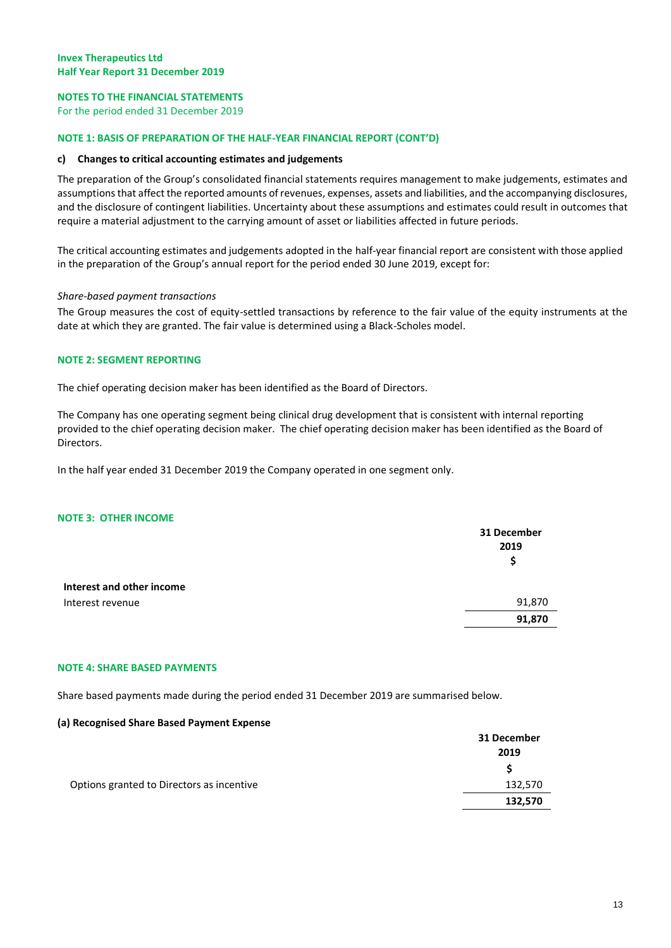# **NOTES TO THE FINANCIAL STATEMENTS**

For the period ended 31 December 2019

#### **NOTE 1: BASIS OF PREPARATION OF THE HALF-YEAR FINANCIAL REPORT (CONT'D)**

#### **c) Changes to critical accounting estimates and judgements**

The preparation of the Group's consolidated financial statements requires management to make judgements, estimates and assumptions that affect the reported amounts of revenues, expenses, assets and liabilities, and the accompanying disclosures, and the disclosure of contingent liabilities. Uncertainty about these assumptions and estimates could result in outcomes that require a material adjustment to the carrying amount of asset or liabilities affected in future periods.

The critical accounting estimates and judgements adopted in the half-year financial report are consistent with those applied in the preparation of the Group's annual report for the period ended 30 June 2019, except for:

#### *Share-based payment transactions*

The Group measures the cost of equity-settled transactions by reference to the fair value of the equity instruments at the date at which they are granted. The fair value is determined using a Black-Scholes model.

#### **NOTE 2: SEGMENT REPORTING**

The chief operating decision maker has been identified as the Board of Directors.

The Company has one operating segment being clinical drug development that is consistent with internal reporting provided to the chief operating decision maker. The chief operating decision maker has been identified as the Board of Directors.

In the half year ended 31 December 2019 the Company operated in one segment only.

#### **NOTE 3: OTHER INCOME**

|                           | 31 December<br>2019<br>\$ |
|---------------------------|---------------------------|
| Interest and other income |                           |
| Interest revenue          | 91,870                    |
|                           | 91,870                    |
|                           |                           |

#### **NOTE 4: SHARE BASED PAYMENTS**

Share based payments made during the period ended 31 December 2019 are summarised below.

#### **(a) Recognised Share Based Payment Expense**

|                                           | 31 December |
|-------------------------------------------|-------------|
|                                           | 2019        |
|                                           |             |
| Options granted to Directors as incentive | 132,570     |
|                                           | 132,570     |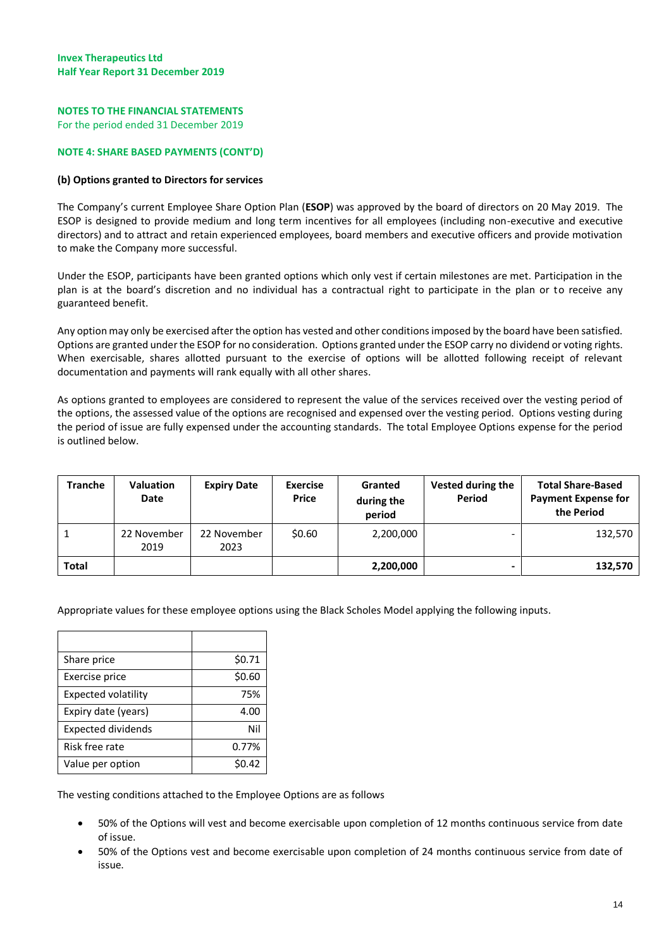# **NOTES TO THE FINANCIAL STATEMENTS**

For the period ended 31 December 2019

#### **NOTE 4: SHARE BASED PAYMENTS (CONT'D)**

#### **(b) Options granted to Directors for services**

The Company's current Employee Share Option Plan (**ESOP**) was approved by the board of directors on 20 May 2019. The ESOP is designed to provide medium and long term incentives for all employees (including non-executive and executive directors) and to attract and retain experienced employees, board members and executive officers and provide motivation to make the Company more successful.

Under the ESOP, participants have been granted options which only vest if certain milestones are met. Participation in the plan is at the board's discretion and no individual has a contractual right to participate in the plan or to receive any guaranteed benefit.

Any option may only be exercised after the option has vested and other conditions imposed by the board have been satisfied. Options are granted under the ESOP for no consideration. Options granted under the ESOP carry no dividend or voting rights. When exercisable, shares allotted pursuant to the exercise of options will be allotted following receipt of relevant documentation and payments will rank equally with all other shares.

As options granted to employees are considered to represent the value of the services received over the vesting period of the options, the assessed value of the options are recognised and expensed over the vesting period. Options vesting during the period of issue are fully expensed under the accounting standards. The total Employee Options expense for the period is outlined below.

| <b>Tranche</b> | Valuation<br>Date   | <b>Expiry Date</b>  | <b>Exercise</b><br><b>Price</b> | Granted<br>during the<br>period | Vested during the<br>Period | <b>Total Share-Based</b><br><b>Payment Expense for</b><br>the Period |
|----------------|---------------------|---------------------|---------------------------------|---------------------------------|-----------------------------|----------------------------------------------------------------------|
|                | 22 November<br>2019 | 22 November<br>2023 | \$0.60                          | 2,200,000                       |                             | 132,570                                                              |
| <b>Total</b>   |                     |                     |                                 | 2,200,000                       |                             | 132,570                                                              |

Appropriate values for these employee options using the Black Scholes Model applying the following inputs.

| Share price                | \$0.71 |
|----------------------------|--------|
| Exercise price             | \$0.60 |
| <b>Expected volatility</b> | 75%    |
| Expiry date (years)        | 4.00   |
| <b>Expected dividends</b>  | Nil    |
| Risk free rate             | 0.77%  |
| Value per option           | 0.42   |

The vesting conditions attached to the Employee Options are as follows

- 50% of the Options will vest and become exercisable upon completion of 12 months continuous service from date of issue.
- 50% of the Options vest and become exercisable upon completion of 24 months continuous service from date of issue.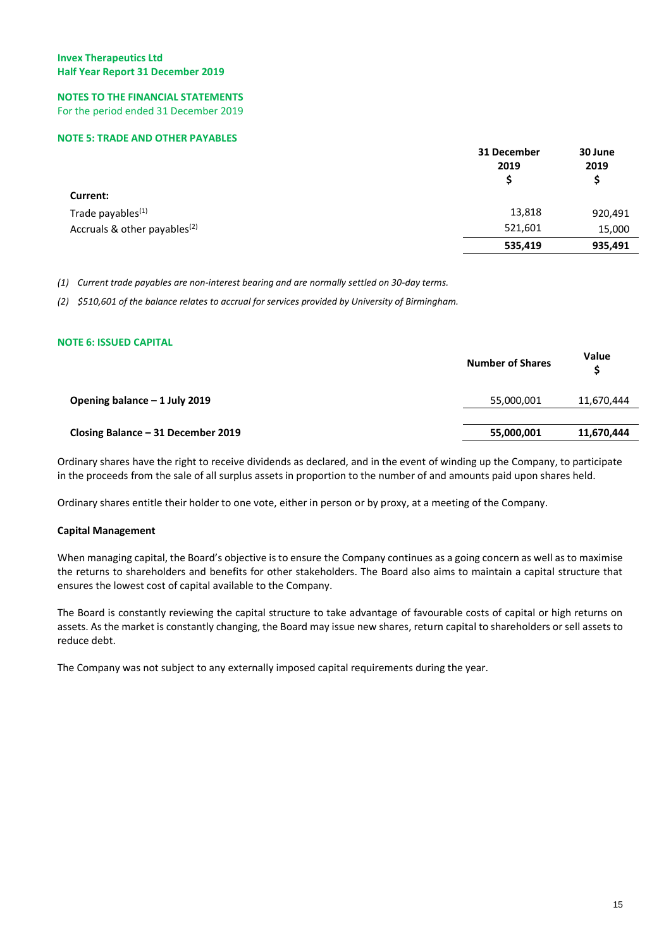#### **NOTES TO THE FINANCIAL STATEMENTS** For the period ended 31 December 2019

## **NOTE 5: TRADE AND OTHER PAYABLES**

|                                          | 31 December<br>2019<br>S | 30 June<br>2019 |
|------------------------------------------|--------------------------|-----------------|
| Current:                                 |                          |                 |
| Trade payables <sup>(1)</sup>            | 13,818                   | 920,491         |
| Accruals & other payables <sup>(2)</sup> | 521,601                  | 15,000          |
|                                          | 535,419                  | 935,491         |

*(1) Current trade payables are non-interest bearing and are normally settled on 30-day terms.*

*(2) \$510,601 of the balance relates to accrual for services provided by University of Birmingham.*

# **NOTE 6: ISSUED CAPITAL**

|                                    | <b>Number of Shares</b> | <b>Value</b><br>S |
|------------------------------------|-------------------------|-------------------|
| Opening balance - 1 July 2019      | 55,000,001              | 11,670,444        |
| Closing Balance - 31 December 2019 | 55,000,001              | 11,670,444        |

Ordinary shares have the right to receive dividends as declared, and in the event of winding up the Company, to participate in the proceeds from the sale of all surplus assets in proportion to the number of and amounts paid upon shares held.

Ordinary shares entitle their holder to one vote, either in person or by proxy, at a meeting of the Company.

# **Capital Management**

When managing capital, the Board's objective is to ensure the Company continues as a going concern as well as to maximise the returns to shareholders and benefits for other stakeholders. The Board also aims to maintain a capital structure that ensures the lowest cost of capital available to the Company.

The Board is constantly reviewing the capital structure to take advantage of favourable costs of capital or high returns on assets. As the market is constantly changing, the Board may issue new shares, return capital to shareholders or sell assets to reduce debt.

The Company was not subject to any externally imposed capital requirements during the year.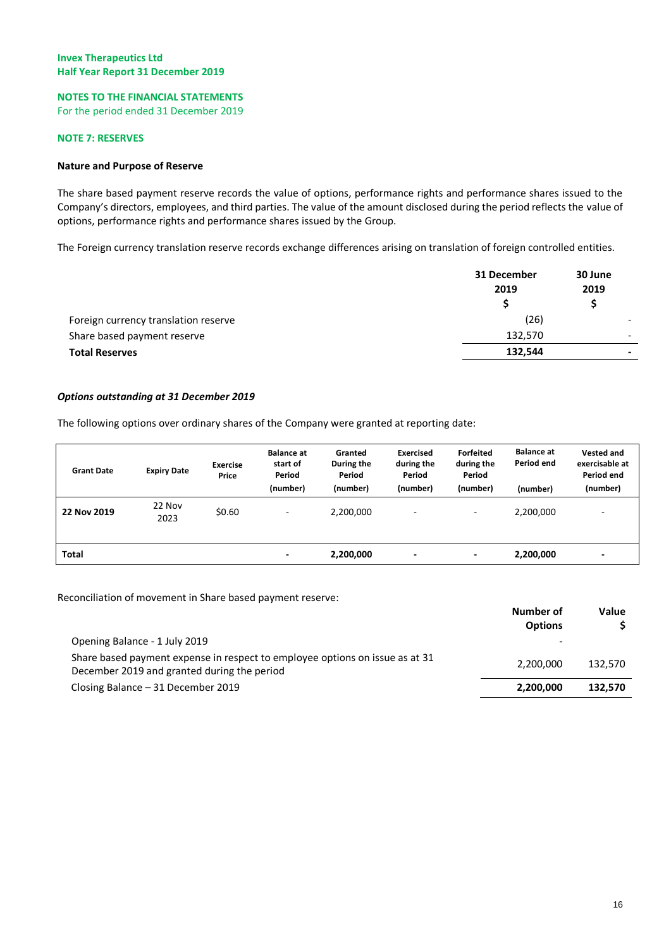# **NOTES TO THE FINANCIAL STATEMENTS**

For the period ended 31 December 2019

# **NOTE 7: RESERVES**

# **Nature and Purpose of Reserve**

The share based payment reserve records the value of options, performance rights and performance shares issued to the Company's directors, employees, and third parties. The value of the amount disclosed during the period reflects the value of options, performance rights and performance shares issued by the Group.

The Foreign currency translation reserve records exchange differences arising on translation of foreign controlled entities.

|                                      | 31 December<br>2019 |   |  |
|--------------------------------------|---------------------|---|--|
|                                      |                     |   |  |
| Foreign currency translation reserve | (26)                |   |  |
| Share based payment reserve          | 132,570             | - |  |
| <b>Total Reserves</b>                | 132,544             | - |  |

# *Options outstanding at 31 December 2019*

The following options over ordinary shares of the Company were granted at reporting date:

| <b>Grant Date</b> | <b>Expiry Date</b> | <b>Exercise</b><br>Price | <b>Balance at</b><br>start of<br>Period<br>(number) | Granted<br>During the<br>Period<br>(number) | <b>Exercised</b><br>during the<br>Period<br>(number) | Forfeited<br>during the<br>Period<br>(number) | <b>Balance at</b><br>Period end<br>(number) | <b>Vested and</b><br>exercisable at<br>Period end<br>(number) |
|-------------------|--------------------|--------------------------|-----------------------------------------------------|---------------------------------------------|------------------------------------------------------|-----------------------------------------------|---------------------------------------------|---------------------------------------------------------------|
| 22 Nov 2019       | 22 Nov<br>2023     | \$0.60                   | ٠                                                   | 2,200,000                                   | $\overline{\phantom{a}}$                             | $\overline{\phantom{a}}$                      | 2,200,000                                   | ٠                                                             |
| Total             |                    |                          | ٠                                                   | 2,200,000                                   | ٠                                                    | ٠                                             | 2,200,000                                   |                                                               |

Reconciliation of movement in Share based payment reserve:

|                                                                                                                             | Number of<br><b>Options</b> | Value   |
|-----------------------------------------------------------------------------------------------------------------------------|-----------------------------|---------|
| Opening Balance - 1 July 2019                                                                                               |                             |         |
| Share based payment expense in respect to employee options on issue as at 31<br>December 2019 and granted during the period | 2,200,000                   | 132.570 |
| Closing Balance - 31 December 2019                                                                                          | 2,200,000                   | 132.570 |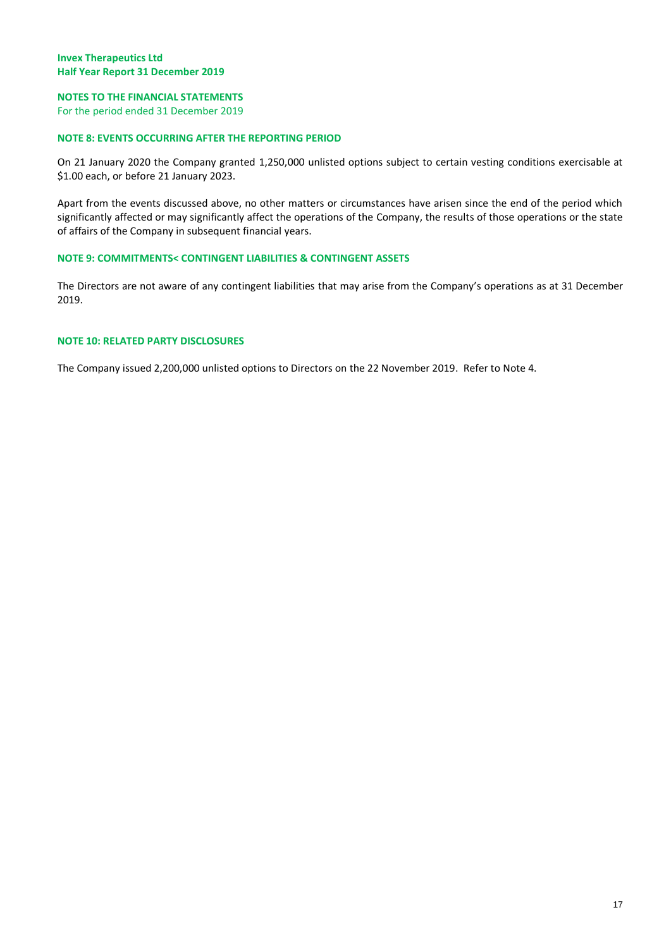# **NOTES TO THE FINANCIAL STATEMENTS**

For the period ended 31 December 2019

# **NOTE 8: EVENTS OCCURRING AFTER THE REPORTING PERIOD**

On 21 January 2020 the Company granted 1,250,000 unlisted options subject to certain vesting conditions exercisable at \$1.00 each, or before 21 January 2023.

Apart from the events discussed above, no other matters or circumstances have arisen since the end of the period which significantly affected or may significantly affect the operations of the Company, the results of those operations or the state of affairs of the Company in subsequent financial years.

# **NOTE 9: COMMITMENTS< CONTINGENT LIABILITIES & CONTINGENT ASSETS**

The Directors are not aware of any contingent liabilities that may arise from the Company's operations as at 31 December 2019.

# **NOTE 10: RELATED PARTY DISCLOSURES**

The Company issued 2,200,000 unlisted options to Directors on the 22 November 2019. Refer to Note 4.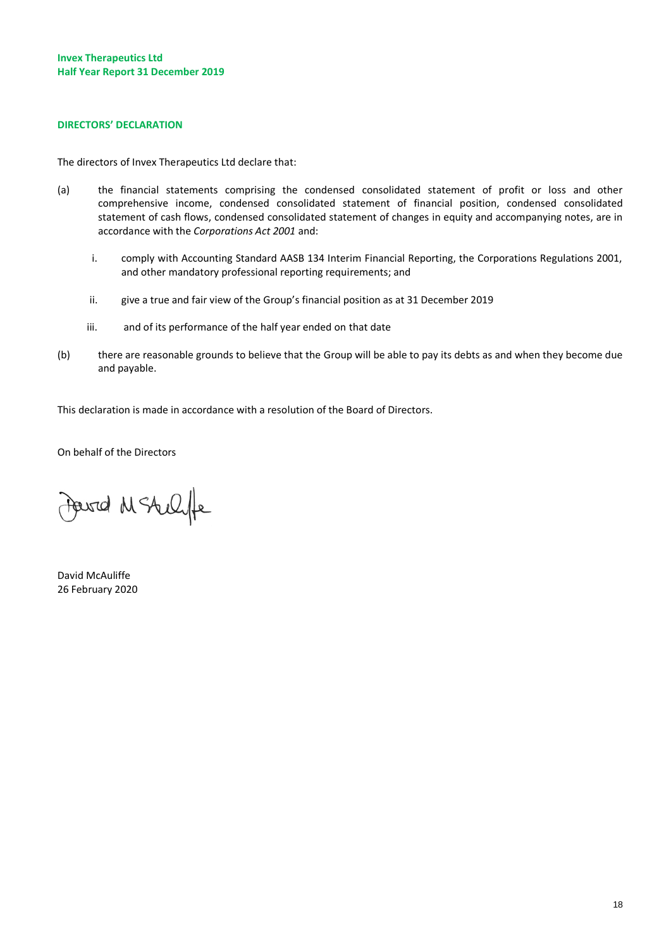#### **DIRECTORS' DECLARATION**

The directors of Invex Therapeutics Ltd declare that:

- (a) the financial statements comprising the condensed consolidated statement of profit or loss and other comprehensive income, condensed consolidated statement of financial position, condensed consolidated statement of cash flows, condensed consolidated statement of changes in equity and accompanying notes, are in accordance with the *Corporations Act 2001* and:
	- i. comply with Accounting Standard AASB 134 Interim Financial Reporting, the Corporations Regulations 2001, and other mandatory professional reporting requirements; and
	- ii. give a true and fair view of the Group's financial position as at 31 December 2019
	- iii. and of its performance of the half year ended on that date
- (b) there are reasonable grounds to believe that the Group will be able to pay its debts as and when they become due and payable.

This declaration is made in accordance with a resolution of the Board of Directors.

On behalf of the Directors

Powered M Stellife

David McAuliffe 26 February 2020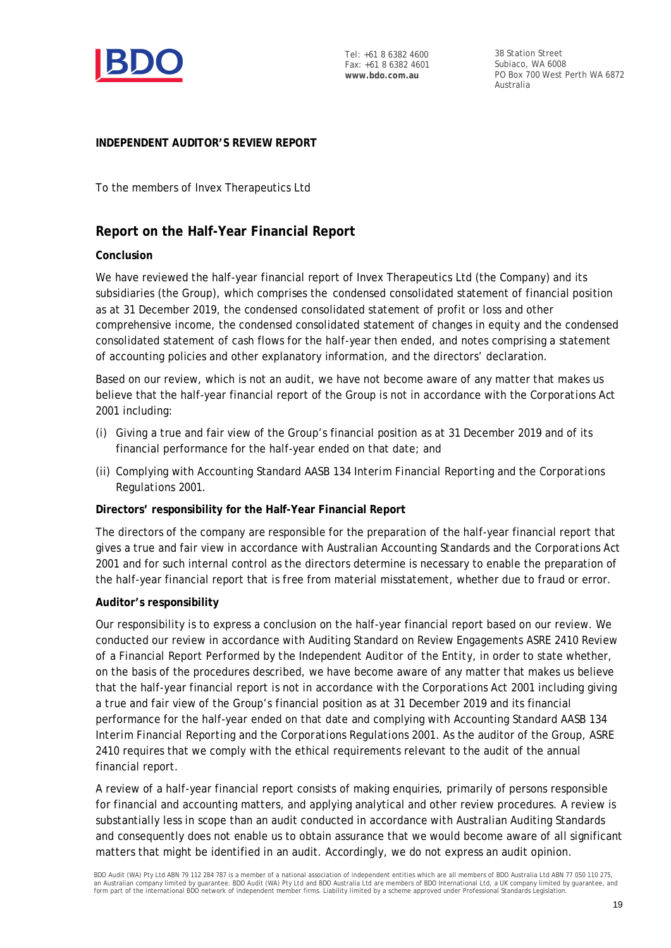

Tel: +61 8 6382 4600 Fax: +61 8 6382 4601 **www.bdo.com.au**

38 Station Street Subiaco, WA 6008 PO Box 700 West Perth WA 6872 Australia

# **INDEPENDENT AUDITOR'S REVIEW REPORT**

To the members of Invex Therapeutics Ltd

# **Report on the Half-Year Financial Report**

# **Conclusion**

We have reviewed the half-year financial report of Invex Therapeutics Ltd (the Company) and its subsidiaries (the Group), which comprises the condensed consolidated statement of financial position as at 31 December 2019, the condensed consolidated statement of profit or loss and other comprehensive income, the condensed consolidated statement of changes in equity and the condensed consolidated statement of cash flows for the half-year then ended, and notes comprising a statement of accounting policies and other explanatory information, and the directors' declaration.

Based on our review, which is not an audit, we have not become aware of any matter that makes us believe that the half-year financial report of the Group is not in accordance with the *Corporations Act 2001* including:

- (i) Giving a true and fair view of the Group's financial position as at 31 December 2019 and of its financial performance for the half-year ended on that date; and
- (ii) Complying with Accounting Standard AASB 134 *Interim Financial Reporting* and the *Corporations Regulations 2001.*

# **Directors' responsibility for the Half-Year Financial Report**

The directors of the company are responsible for the preparation of the half-year financial report that gives a true and fair view in accordance with Australian Accounting Standards and the *Corporations Act 2001* and for such internal control as the directors determine is necessary to enable the preparation of the half-year financial report that is free from material misstatement, whether due to fraud or error.

# **Auditor's responsibility**

Our responsibility is to express a conclusion on the half-year financial report based on our review. We conducted our review in accordance with Auditing Standard on Review Engagements ASRE 2410 *Review of a Financial Report Performed by the Independent Auditor of the Entity*, in order to state whether, on the basis of the procedures described, we have become aware of any matter that makes us believe that the half-year financial report is not in accordance with the *Corporations Act 2001* including giving a true and fair view of the Group's financial position as at 31 December 2019 and its financial performance for the half-year ended on that date and complying with Accounting Standard AASB 134 *Interim Financial Reporting* and the *Corporations Regulations 2001*. As the auditor of the Group, ASRE 2410 requires that we comply with the ethical requirements relevant to the audit of the annual financial report.

A review of a half-year financial report consists of making enquiries, primarily of persons responsible for financial and accounting matters, and applying analytical and other review procedures. A review is substantially less in scope than an audit conducted in accordance with Australian Auditing Standards and consequently does not enable us to obtain assurance that we would become aware of all significant matters that might be identified in an audit. Accordingly, we do not express an audit opinion.

BDO Audit (WA) Pty Ltd ABN 79 112 284 787 is a member of a national association of independent entities which are all members of BDO Australia Ltd ABN 77 050 110 275, an Australian company limited by guarantee. BDO Audit (WA) Pty Ltd and BDO Australia Ltd are members of BDO International Ltd, a UK company limited by guarantee, and form part of the international BDO network of independent member firms. Liability limited by a scheme approved under Professional Standards Legislation.